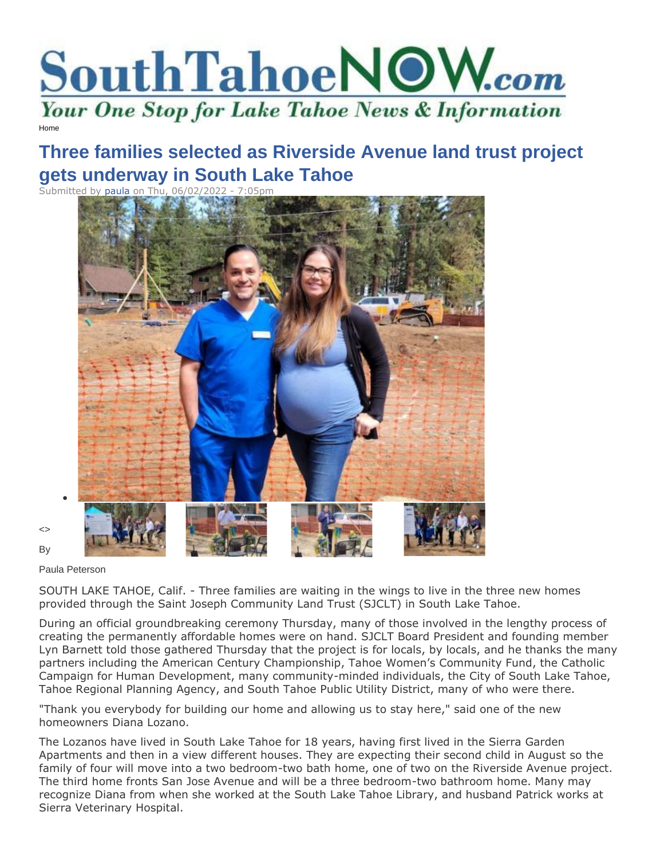

[Home](https://www.southtahoenow.com/)

## **Three families selected as Riverside Avenue land trust project gets underway in South Lake Tahoe**

Submitted by [paula](https://www.southtahoenow.com/users/paula) on Thu, 06/02/2022 - 7:05pm



<> By

Paula Peterson

•

SOUTH LAKE TAHOE, Calif. - Three families are waiting in the wings to live in the three new homes provided through the Saint Joseph Community Land Trust (SJCLT) in South Lake Tahoe.

During an official groundbreaking ceremony Thursday, many of those involved in the lengthy process of creating the permanently affordable homes were on hand. SJCLT Board President and founding member Lyn Barnett told those gathered Thursday that the project is for locals, by locals, and he thanks the many partners including the American Century Championship, Tahoe Women's Community Fund, the Catholic Campaign for Human Development, many community-minded individuals, the City of South Lake Tahoe, Tahoe Regional Planning Agency, and South Tahoe Public Utility District, many of who were there.

"Thank you everybody for building our home and allowing us to stay here," said one of the new homeowners Diana Lozano.

The Lozanos have lived in South Lake Tahoe for 18 years, having first lived in the Sierra Garden Apartments and then in a view different houses. They are expecting their second child in August so the family of four will move into a two bedroom-two bath home, one of two on the Riverside Avenue project. The third home fronts San Jose Avenue and will be a three bedroom-two bathroom home. Many may recognize Diana from when she worked at the South Lake Tahoe Library, and husband Patrick works at Sierra Veterinary Hospital.